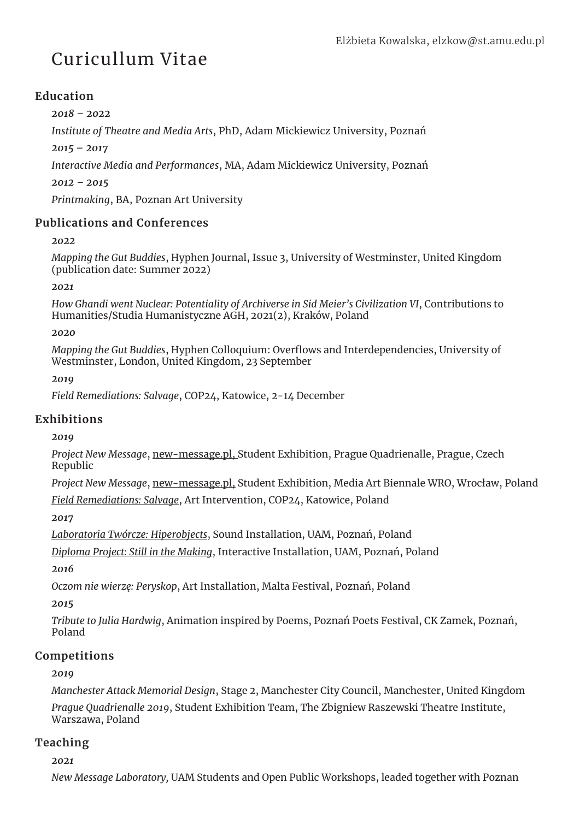# Curicullum Vitae

# **Education**

*2018 – 2022* 

*Institute of Theatre and Media Arts*, PhD, Adam Mickiewicz University, Poznań

*2015 – 2017* 

*Interactive Media and Performances*, MA, Adam Mickiewicz University, Poznań

*2012 – 2015* 

*Printmaking*, BA, Poznan Art University

## **Publications and Conferences**

#### *2022*

*Mapping the Gut Buddies*, Hyphen Journal, Issue 3, University of Westminster, United Kingdom (publication date: Summer 2022)

*2021*

*How Ghandi went Nuclear: Potentiality of Archiverse in Sid Meier's Civilization VI*, Contributions to Humanities/Studia Humanistyczne AGH, 2021(2), Kraków, Poland

*2020*

*Mapping the Gut Buddies*, Hyphen Colloquium: Overflows and Interdependencies, University of Westminster, London, United Kingdom, 23 September

*2019*

*Field Remediations: Salvage*, COP24, Katowice, 2-14 December

#### **Exhibitions**

*2019*

*Project New Message*, new-message.pl, Student Exhibition, Prague Quadrienalle, Prague, Czech Republic

*Project New Message*, new-message.pl, Student Exhibition, Media Art Biennale WRO, Wrocław, Poland

*Field Remediations: Salvage*, Art Intervention, COP24, Katowice, Poland

*2017*

*Laboratoria Twórcze: Hiperobjects*, Sound Installation, UAM, Poznań, Poland

*Diploma Project: Still in the Making*, Interactive Installation, UAM, Poznań, Poland

*2016*

*Oczom nie wierzę: Peryskop*, Art Installation, Malta Festival, Poznań, Poland

*2015*

*Tribute to Julia Hardwig*, Animation inspired by Poems, Poznań Poets Festival, CK Zamek, Poznań, Poland

## **Competitions**

#### *2019*

*Manchester Attack Memorial Design*, Stage 2, Manchester City Council, Manchester, United Kingdom *Prague Quadrienalle 2019*, Student Exhibition Team, The Zbigniew Raszewski Theatre Institute, Warszawa, Poland

## **Teaching**

*2021*

*New Message Laboratory,* UAM Students and Open Public Workshops, leaded together with Poznan